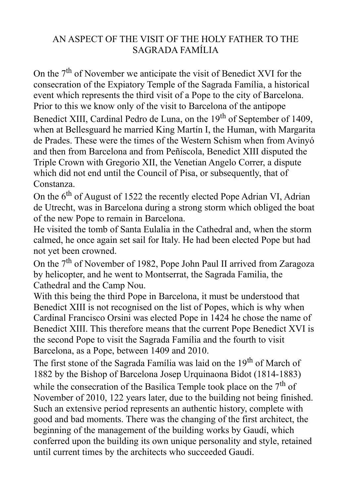## AN ASPECT OF THE VISIT OF THE HOLY FATHER TO THE SAGRADA FAMÍLIA

On the  $7<sup>th</sup>$  of November we anticipate the visit of Benedict XVI for the consecration of the Expiatory Temple of the Sagrada Família, a historical event which represents the third visit of a Pope to the city of Barcelona. Prior to this we know only of the visit to Barcelona of the antipope

Benedict XIII, Cardinal Pedro de Luna, on the 19<sup>th</sup> of September of 1409, when at Bellesguard he married King Martín I, the Human, with Margarita de Prades. These were the times of the Western Schism when from Avinyó and then from Barcelona and from Peñíscola, Benedict XIII disputed the Triple Crown with Gregorio XII, the Venetian Angelo Correr, a dispute which did not end until the Council of Pisa, or subsequently, that of Constanza.

On the  $6<sup>th</sup>$  of August of 1522 the recently elected Pope Adrian VI, Adrian de Utrecht, was in Barcelona during a strong storm which obliged the boat of the new Pope to remain in Barcelona.

He visited the tomb of Santa Eulalia in the Cathedral and, when the storm calmed, he once again set sail for Italy. He had been elected Pope but had not yet been crowned.

On the 7<sup>th</sup> of November of 1982, Pope John Paul II arrived from Zaragoza by helicopter, and he went to Montserrat, the Sagrada Familia, the Cathedral and the Camp Nou.

With this being the third Pope in Barcelona, it must be understood that Benedict XIII is not recognised on the list of Popes, which is why when Cardinal Francisco Orsini was elected Pope in 1424 he chose the name of Benedict XIII. This therefore means that the current Pope Benedict XVI is the second Pope to visit the Sagrada Família and the fourth to visit Barcelona, as a Pope, between 1409 and 2010.

The first stone of the Sagrada Família was laid on the 19<sup>th</sup> of March of 1882 by the Bishop of Barcelona Josep Urquinaona Bidot (1814-1883)

while the consecration of the Basilica Temple took place on the  $7<sup>th</sup>$  of November of 2010, 122 years later, due to the building not being finished. Such an extensive period represents an authentic history, complete with good and bad moments. There was the changing of the first architect, the beginning of the management of the building works by Gaudí, which conferred upon the building its own unique personality and style, retained until current times by the architects who succeeded Gaudí.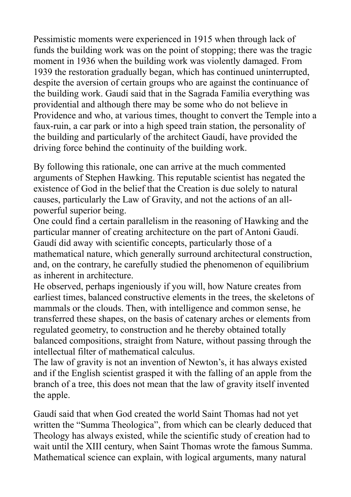Pessimistic moments were experienced in 1915 when through lack of funds the building work was on the point of stopping; there was the tragic moment in 1936 when the building work was violently damaged. From 1939 the restoration gradually began, which has continued uninterrupted, despite the aversion of certain groups who are against the continuance of the building work. Gaudí said that in the Sagrada Familia everything was providential and although there may be some who do not believe in Providence and who, at various times, thought to convert the Temple into a faux-ruin, a car park or into a high speed train station, the personality of the building and particularly of the architect Gaudí, have provided the driving force behind the continuity of the building work.

By following this rationale, one can arrive at the much commented arguments of Stephen Hawking. This reputable scientist has negated the existence of God in the belief that the Creation is due solely to natural causes, particularly the Law of Gravity, and not the actions of an allpowerful superior being.

One could find a certain parallelism in the reasoning of Hawking and the particular manner of creating architecture on the part of Antoni Gaudí. Gaudí did away with scientific concepts, particularly those of a mathematical nature, which generally surround architectural construction, and, on the contrary, he carefully studied the phenomenon of equilibrium as inherent in architecture.

He observed, perhaps ingeniously if you will, how Nature creates from earliest times, balanced constructive elements in the trees, the skeletons of mammals or the clouds. Then, with intelligence and common sense, he transferred these shapes, on the basis of catenary arches or elements from regulated geometry, to construction and he thereby obtained totally balanced compositions, straight from Nature, without passing through the intellectual filter of mathematical calculus.

The law of gravity is not an invention of Newton's, it has always existed and if the English scientist grasped it with the falling of an apple from the branch of a tree, this does not mean that the law of gravity itself invented the apple.

Gaudí said that when God created the world Saint Thomas had not yet written the "Summa Theologica", from which can be clearly deduced that Theology has always existed, while the scientific study of creation had to wait until the XIII century, when Saint Thomas wrote the famous Summa. Mathematical science can explain, with logical arguments, many natural